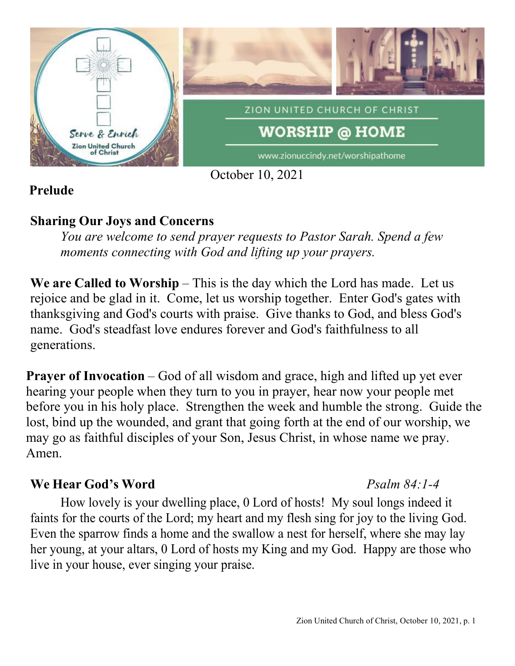

## **Prelude**

## **Sharing Our Joys and Concerns**

*You are welcome to send prayer requests to Pastor Sarah. Spend a few moments connecting with God and lifting up your prayers.*

**We are Called to Worship** – This is the day which the Lord has made. Let us rejoice and be glad in it. Come, let us worship together. Enter God's gates with thanksgiving and God's courts with praise. Give thanks to God, and bless God's name. God's steadfast love endures forever and God's faithfulness to all generations.

**Prayer of Invocation** – God of all wisdom and grace, high and lifted up yet ever hearing your people when they turn to you in prayer, hear now your people met before you in his holy place. Strengthen the week and humble the strong. Guide the lost, bind up the wounded, and grant that going forth at the end of our worship, we may go as faithful disciples of your Son, Jesus Christ, in whose name we pray. Amen.

## **We Hear God's Word** *Psalm 84:1-4*

## How lovely is your dwelling place, 0 Lord of hosts! My soul longs indeed it faints for the courts of the Lord; my heart and my flesh sing for joy to the living God. Even the sparrow finds a home and the swallow a nest for herself, where she may lay her young, at your altars, 0 Lord of hosts my King and my God. Happy are those who live in your house, ever singing your praise.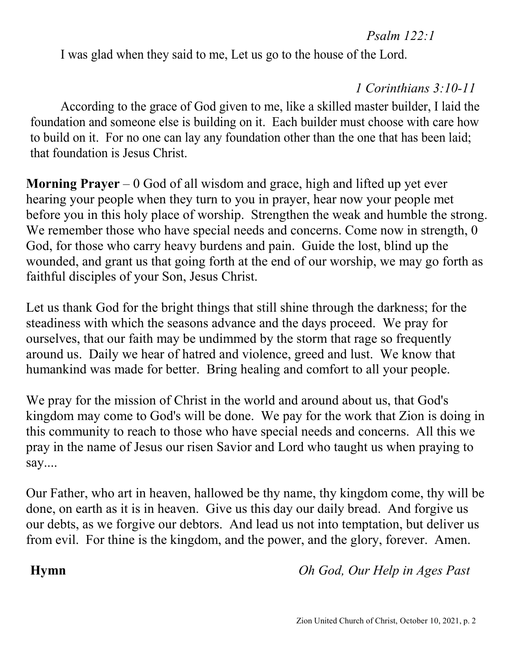### *Psalm 122:1*

I was glad when they said to me, Let us go to the house of the Lord.

# *1 Corinthians 3:10-11*

According to the grace of God given to me, like a skilled master builder, I laid the foundation and someone else is building on it. Each builder must choose with care how to build on it. For no one can lay any foundation other than the one that has been laid; that foundation is Jesus Christ.

**Morning Prayer** – 0 God of all wisdom and grace, high and lifted up yet ever hearing your people when they turn to you in prayer, hear now your people met before you in this holy place of worship. Strengthen the weak and humble the strong. We remember those who have special needs and concerns. Come now in strength, 0 God, for those who carry heavy burdens and pain. Guide the lost, blind up the wounded, and grant us that going forth at the end of our worship, we may go forth as faithful disciples of your Son, Jesus Christ.

Let us thank God for the bright things that still shine through the darkness; for the steadiness with which the seasons advance and the days proceed. We pray for ourselves, that our faith may be undimmed by the storm that rage so frequently around us. Daily we hear of hatred and violence, greed and lust. We know that humankind was made for better. Bring healing and comfort to all your people.

We pray for the mission of Christ in the world and around about us, that God's kingdom may come to God's will be done. We pay for the work that Zion is doing in this community to reach to those who have special needs and concerns. All this we pray in the name of Jesus our risen Savior and Lord who taught us when praying to say....

Our Father, who art in heaven, hallowed be thy name, thy kingdom come, thy will be done, on earth as it is in heaven. Give us this day our daily bread. And forgive us our debts, as we forgive our debtors. And lead us not into temptation, but deliver us from evil. For thine is the kingdom, and the power, and the glory, forever. Amen.

**Hymn** *Oh God, Our Help in Ages Past*